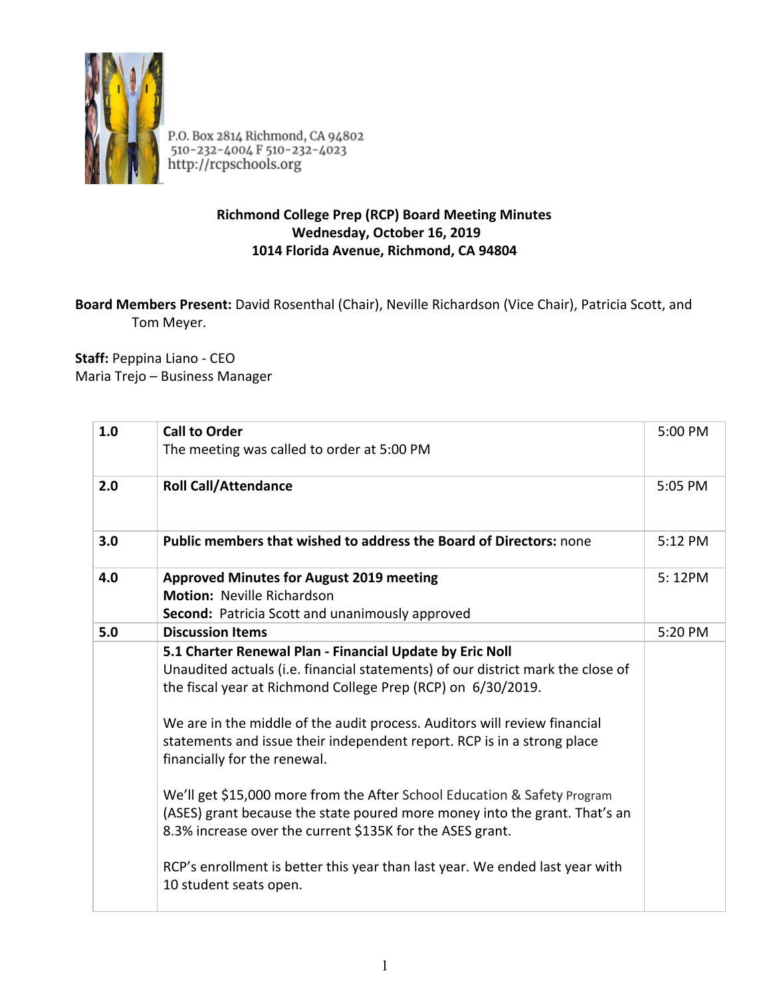

P.O. Box 2814 Richmond, CA 94802<br>510-232-4004 F 510-232-4023<br>http://rcpschools.org

## **Richmond College Prep (RCP) Board Meeting Minutes Wednesday, October 16, 2019 1014 Florida Avenue, Richmond, CA 94804**

## **Board Members Present:** David Rosenthal (Chair), Neville Richardson (Vice Chair), Patricia Scott, and Tom Meyer.

**Staff:** Peppina Liano - CEO Maria Trejo – Business Manager

| 1.0 | <b>Call to Order</b><br>The meeting was called to order at 5:00 PM                                                                                                                                                                                                                                                                                                                                                                                                                                                                                                                                                                                                                                                                   | 5:00 PM |
|-----|--------------------------------------------------------------------------------------------------------------------------------------------------------------------------------------------------------------------------------------------------------------------------------------------------------------------------------------------------------------------------------------------------------------------------------------------------------------------------------------------------------------------------------------------------------------------------------------------------------------------------------------------------------------------------------------------------------------------------------------|---------|
| 2.0 | <b>Roll Call/Attendance</b>                                                                                                                                                                                                                                                                                                                                                                                                                                                                                                                                                                                                                                                                                                          | 5:05 PM |
| 3.0 | Public members that wished to address the Board of Directors: none                                                                                                                                                                                                                                                                                                                                                                                                                                                                                                                                                                                                                                                                   | 5:12 PM |
| 4.0 | <b>Approved Minutes for August 2019 meeting</b><br><b>Motion: Neville Richardson</b><br>Second: Patricia Scott and unanimously approved                                                                                                                                                                                                                                                                                                                                                                                                                                                                                                                                                                                              | 5:12PM  |
| 5.0 | <b>Discussion Items</b>                                                                                                                                                                                                                                                                                                                                                                                                                                                                                                                                                                                                                                                                                                              | 5:20 PM |
|     | 5.1 Charter Renewal Plan - Financial Update by Eric Noll<br>Unaudited actuals (i.e. financial statements) of our district mark the close of<br>the fiscal year at Richmond College Prep (RCP) on 6/30/2019.<br>We are in the middle of the audit process. Auditors will review financial<br>statements and issue their independent report. RCP is in a strong place<br>financially for the renewal.<br>We'll get \$15,000 more from the After School Education & Safety Program<br>(ASES) grant because the state poured more money into the grant. That's an<br>8.3% increase over the current \$135K for the ASES grant.<br>RCP's enrollment is better this year than last year. We ended last year with<br>10 student seats open. |         |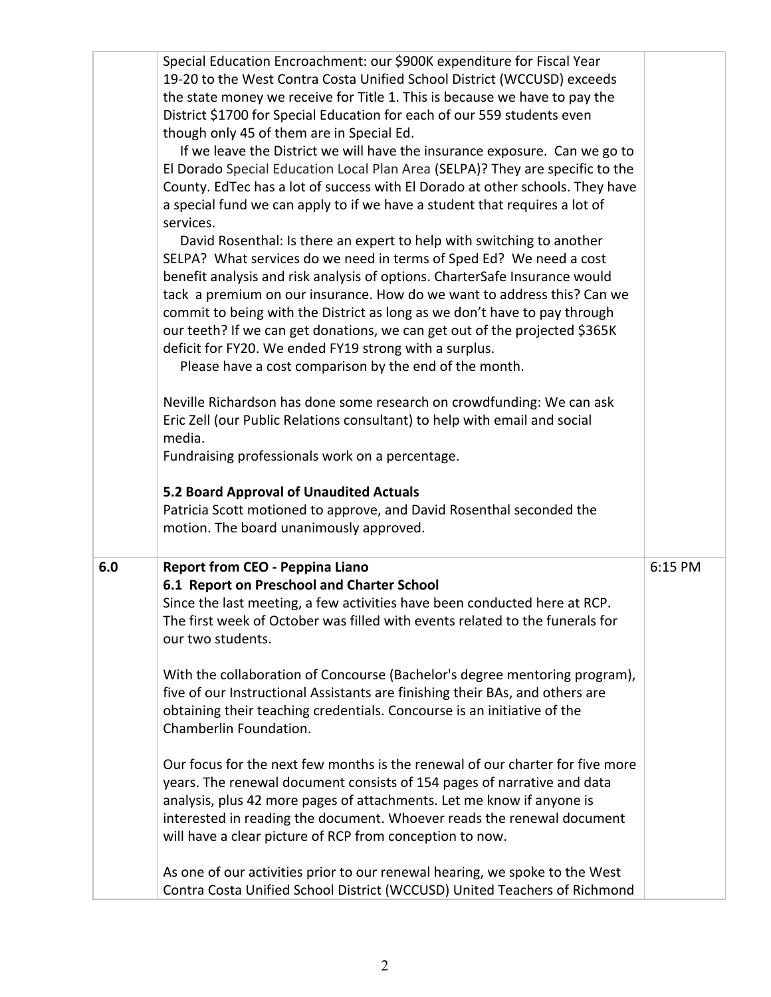|     | Special Education Encroachment: our \$900K expenditure for Fiscal Year<br>19-20 to the West Contra Costa Unified School District (WCCUSD) exceeds<br>the state money we receive for Title 1. This is because we have to pay the<br>District \$1700 for Special Education for each of our 559 students even<br>though only 45 of them are in Special Ed.<br>If we leave the District we will have the insurance exposure. Can we go to<br>El Dorado Special Education Local Plan Area (SELPA)? They are specific to the<br>County. EdTec has a lot of success with El Dorado at other schools. They have<br>a special fund we can apply to if we have a student that requires a lot of<br>services.<br>David Rosenthal: Is there an expert to help with switching to another<br>SELPA? What services do we need in terms of Sped Ed? We need a cost<br>benefit analysis and risk analysis of options. CharterSafe Insurance would<br>tack a premium on our insurance. How do we want to address this? Can we<br>commit to being with the District as long as we don't have to pay through<br>our teeth? If we can get donations, we can get out of the projected \$365K<br>deficit for FY20. We ended FY19 strong with a surplus.<br>Please have a cost comparison by the end of the month.<br>Neville Richardson has done some research on crowdfunding: We can ask<br>Eric Zell (our Public Relations consultant) to help with email and social<br>media.<br>Fundraising professionals work on a percentage.<br>5.2 Board Approval of Unaudited Actuals |         |
|-----|----------------------------------------------------------------------------------------------------------------------------------------------------------------------------------------------------------------------------------------------------------------------------------------------------------------------------------------------------------------------------------------------------------------------------------------------------------------------------------------------------------------------------------------------------------------------------------------------------------------------------------------------------------------------------------------------------------------------------------------------------------------------------------------------------------------------------------------------------------------------------------------------------------------------------------------------------------------------------------------------------------------------------------------------------------------------------------------------------------------------------------------------------------------------------------------------------------------------------------------------------------------------------------------------------------------------------------------------------------------------------------------------------------------------------------------------------------------------------------------------------------------------------------------------------------|---------|
|     | Patricia Scott motioned to approve, and David Rosenthal seconded the<br>motion. The board unanimously approved.                                                                                                                                                                                                                                                                                                                                                                                                                                                                                                                                                                                                                                                                                                                                                                                                                                                                                                                                                                                                                                                                                                                                                                                                                                                                                                                                                                                                                                          |         |
| 6.0 | <b>Report from CEO - Peppina Liano</b><br>6.1 Report on Preschool and Charter School<br>Since the last meeting, a few activities have been conducted here at RCP.<br>The first week of October was filled with events related to the funerals for<br>our two students.<br>With the collaboration of Concourse (Bachelor's degree mentoring program),<br>five of our Instructional Assistants are finishing their BAs, and others are<br>obtaining their teaching credentials. Concourse is an initiative of the<br>Chamberlin Foundation.<br>Our focus for the next few months is the renewal of our charter for five more                                                                                                                                                                                                                                                                                                                                                                                                                                                                                                                                                                                                                                                                                                                                                                                                                                                                                                                               | 6:15 PM |
|     | years. The renewal document consists of 154 pages of narrative and data<br>analysis, plus 42 more pages of attachments. Let me know if anyone is<br>interested in reading the document. Whoever reads the renewal document<br>will have a clear picture of RCP from conception to now.<br>As one of our activities prior to our renewal hearing, we spoke to the West<br>Contra Costa Unified School District (WCCUSD) United Teachers of Richmond                                                                                                                                                                                                                                                                                                                                                                                                                                                                                                                                                                                                                                                                                                                                                                                                                                                                                                                                                                                                                                                                                                       |         |